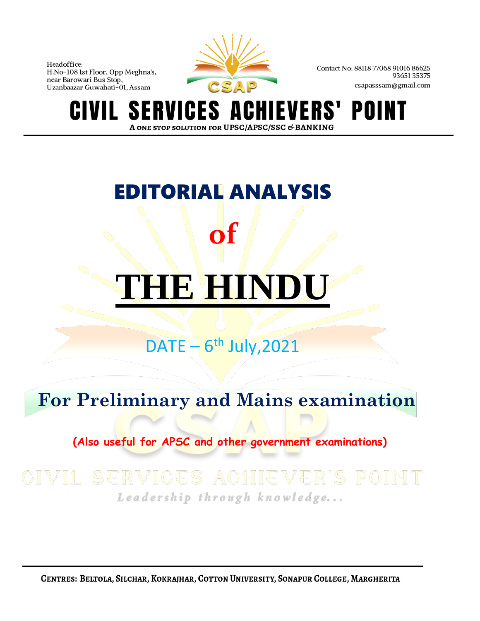

Contact No: 88118 77068 91016 86625 9365135375 csapasssam@gmail.com

**SI ERVICES A** VERS' POINT A ONE STOP SOLUTION FOR UPSC/APSC/SSC & BANKING

# EDITORIAL ANALYSIS **of THE HIND**

# $DATE - 6<sup>th</sup> July, 2021$

# **For Preliminary and Mains examination**

 **(Also useful for APSC and other government examinations)**

# Leadership through knowledge...

CENTRES: BELTOLA, SILCHAR, KOKRAJHAR, COTTON UNIVERSITY, SONAPUR COLLEGE, MARGHERITA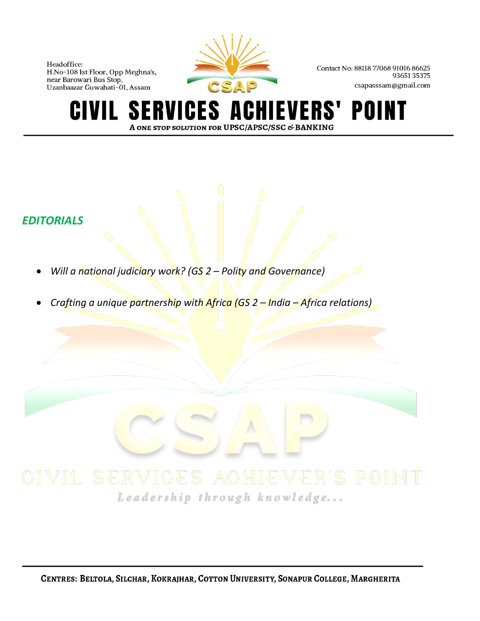

Contact No: 88118 77068 91016 86625 9365135375 csapasssam@gmail.com

#### HIEVERS' POINT **SERVICES AO** CIVIL A ONE STOP SOLUTION FOR UPSC/APSC/SSC & BANKING

## *EDITORIALS*

- *Will a national judiciary work? (GS 2 – Polity and Governance)*
- *Crafting a unique partnership with Africa (GS 2 – India – Africa relations)*

# Leadership through knowledge...

CENTRES: BELTOLA, SILCHAR, KOKRAJHAR, COTTON UNIVERSITY, SONAPUR COLLEGE, MARGHERITA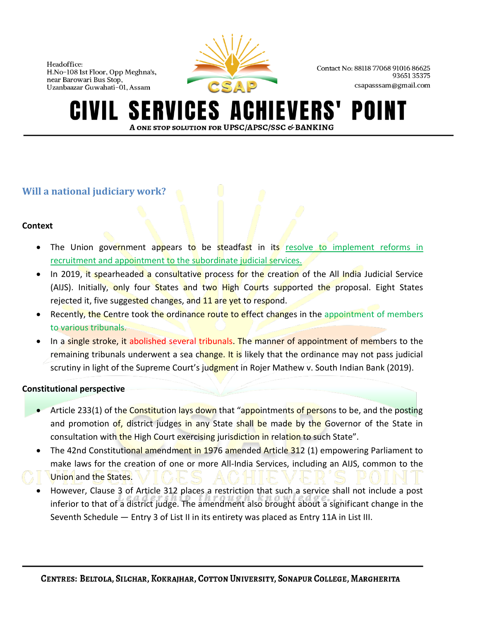

Contact No: 88118 77068 91016 86625 9365135375 csapasssam@gmail.com

#### **ERVICES A IEVERS'** POINT A ONE STOP SOLUTION FOR UPSC/APSC/SSC & BANKING

## **Will a national judiciary work?**

### **Context**

- The Union government appears to be steadfast in its resolve to implement reforms in recruitment and appointment to the subordinate judicial services.
- In 2019, it spearheaded a consultative process for the creation of the All India Judicial Service (AIJS). Initially, only four States and two High Courts supported the proposal. Eight States rejected it, five suggested changes, and 11 are yet to respond.
- Recently, the Centre took the ordinance route to effect changes in the appointment of members to various tribunals.
- In a single stroke, it abolished several tribunals. The manner of appointment of members to the remaining tribunals underwent a sea change. It is likely that the ordinance may not pass judicial scrutiny in light of the Supreme Court's judgment in Rojer Mathew v. South Indian Bank (2019).

### **Constitutional perspective**

- Article 233(1) of the Constitution lays down that "appointments of persons to be, and the posting and promotion of, district judges in any State shall be made by the Governor of the State in consultation with the High Court exercising jurisdiction in relation to such State".
- The 42nd Constitutional amendment in 1976 amended Article 312 (1) empowering Parliament to make laws for the creation of one or more All-India Services, including an AIJS, common to the Union and the States.
- However, Clause 3 of Article 312 places a restriction that such a service shall not include a post inferior to that of a district judge. The amendment also brought about a significant change in the Seventh Schedule — Entry 3 of List II in its entirety was placed as Entry 11A in List III.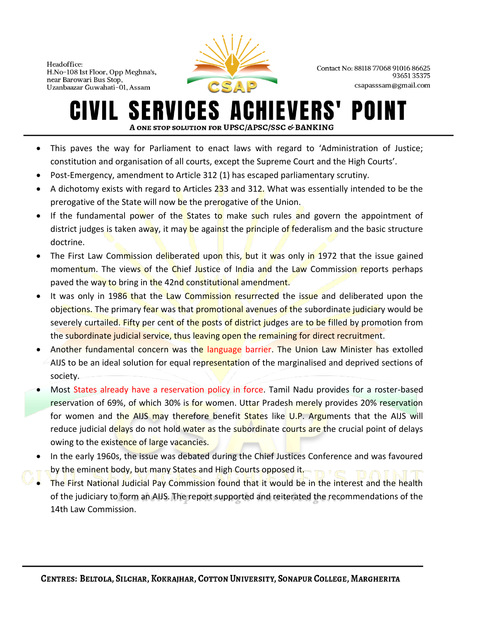

Contact No: 88118 77068 91016 86625 9365135375 csapasssam@gmail.com

#### **SERVICES ACHIEVERS'** POINT IVIL I A ONE STOP SOLUTION FOR UPSC/APSC/SSC & BANKING

- This paves the way for Parliament to enact laws with regard to 'Administration of Justice; constitution and organisation of all courts, except the Supreme Court and the High Courts'.
- Post-Emergency, amendment to Article 312 (1) has escaped parliamentary scrutiny.
- A dichotomy exists with regard to Articles 233 and 312. What was essentially intended to be the prerogative of the State will now be the prerogative of the Union.
- If the fundamental power of the States to make such rules and govern the appointment of district judges is taken away, it may be against the principle of federalism and the basic structure doctrine.
- The First Law Commission deliberated upon this, but it was only in 1972 that the issue gained momentum. The views of the Chief Justice of India and the Law Commission reports perhaps paved the way to bring in the 42nd constitutional amendment.
- It was only in 1986 that the Law Commission resurrected the issue and deliberated upon the objections. The primary fear was that promotional avenues of the subordinate judiciary would be severely curtailed. Fifty per cent of the posts of district judges are to be filled by promotion from the subordinate judicial service, thus leaving open the remaining for direct recruitment.
- Another fundamental concern was the language barrier. The Union Law Minister has extolled AIJS to be an ideal solution for equal representation of the marginalised and deprived sections of society.
- Most States already have a reservation policy in force. Tamil Nadu provides for a roster-based reservation of 69%, of which 30% is for women. Uttar Pradesh merely provides 20% reservation for women and the AIJS may therefore benefit States like U.P. Arguments that the AIJS will reduce judicial delays do not hold water as the subordinate courts are the crucial point of delays owing to the existence of large vacancies.
- In the early 1960s, the issue was debated during the Chief Justices Conference and was favoured by the eminent body, but many States and High Courts opposed it.
- The First National Judicial Pay Commission found that it would be in the interest and the health of the judiciary to form an AIJS. The report supported and reiterated the recommendations of the 14th Law Commission.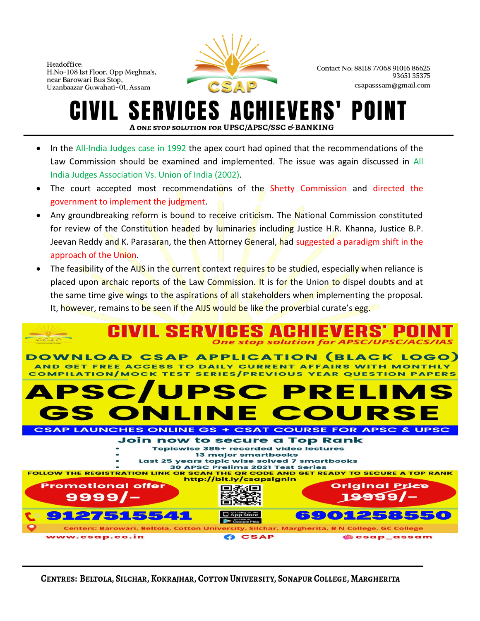

Contact No: 88118 77068 91016 86625 9365135375 csapasssam@gmail.com

# ERVICES A **A ONE STOP SOLUTION FOR UPSC/APSC/SSC & BANKING**

- In the All-India Judges case in 1992 the apex court had opined that the recommendations of the Law Commission should be examined and implemented. The issue was again discussed in All India Judges Association Vs. Union of India (2002).
- The court accepted most recommendations of the Shetty Commission and directed the government to implement the judgment.
- Any groundbreaking reform is bound to receive criticism. The National Commission constituted for review of the Constitution headed by luminaries including Justice H.R. Khanna, Justice B.P. Jeevan Reddy and K. Parasaran, the then Attorney General, had suggested a paradigm shift in the approach of the Union.
- The feasibility of the AIJS in the current context requires to be studied, especially when reliance is placed upon archaic reports of the Law Commission. It is for the Union to dispel doubts and at the same time give wings to the aspirations of all stakeholders when implementing the proposal. It, however, remains to be seen if the AIJS would be like the proverbial curate's egg.



CENTRES: BELTOLA, SILCHAR, KOKRAJHAR, COTTON UNIVERSITY, SONAPUR COLLEGE, MARGHERITA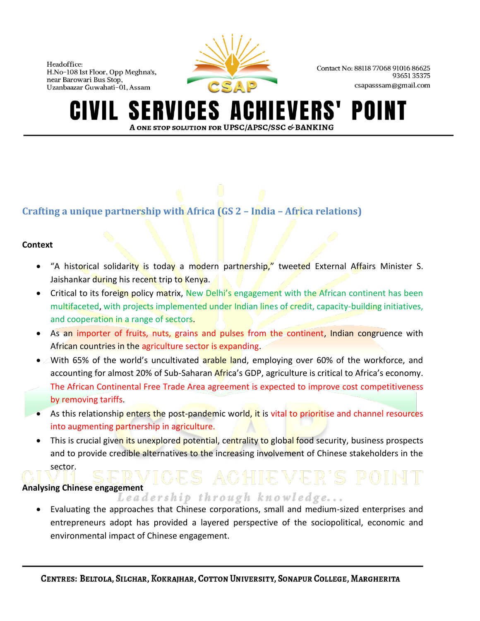

Contact No: 88118 77068 91016 86625 9365135375 csapasssam@gmail.com

#### **ERVICES A IEVERS'** POII A ONE STOP SOLUTION FOR UPSC/APSC/SSC & BANKING

## **Crafting a unique partnership with Africa (GS 2 – India – Africa relations)**

### **Context**

- "A historical solidarity is today a modern partnership," tweeted External Affairs Minister S. Jaishankar during his recent trip to Kenya.
- Critical to its foreign policy matrix, New Delhi's engagement with the African continent has been multifaceted, with projects implemented under Indian lines of credit, capacity-building initiatives, and cooperation in a range of sectors.
- As an importer of fruits, nuts, grains and pulses from the continent, Indian congruence with African countries in the agriculture sector is expanding.
- With 65% of the world's uncultivated arable land, employing over 60% of the workforce, and accounting for almost 20% of Sub-Saharan Africa's GDP, agriculture is critical to Africa's economy. The African Continental Free Trade Area agreement is expected to improve cost competitiveness by removing tariffs.
- As this relationship enters the post-pandemic world, it is vital to prioritise and channel resources into augmenting partnership in agriculture.
- This is crucial given its unexplored potential, centrality to global food security, business prospects and to provide credible alternatives to the increasing involvement of Chinese stakeholders in the sector.

**Analysing Chinese engagement** 

• Evaluating the approaches that Chinese corporations, small and medium-sized enterprises and entrepreneurs adopt has provided a layered perspective of the sociopolitical, economic and environmental impact of Chinese engagement.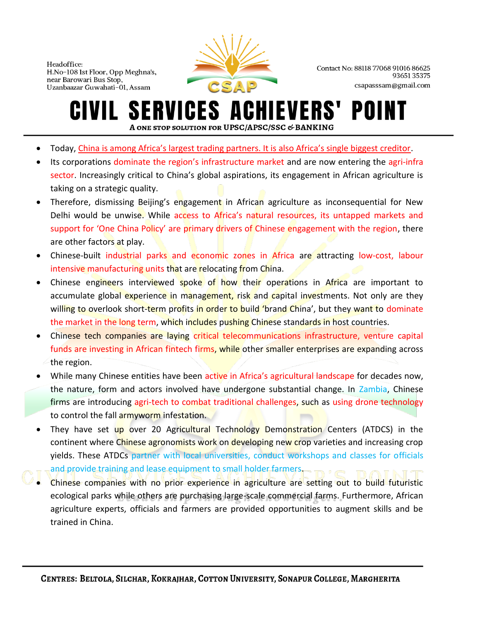

Contact No: 88118 77068 91016 86625 9365135375 csapasssam@gmail.com

#### ERVICES ACI **SI IEVERS'** POII IVIL. A ONE STOP SOLUTION FOR UPSC/APSC/SSC & BANKING

- Today, China is among Africa's largest trading partners. It is also Africa's single biggest creditor.
- Its corporations dominate the region's infrastructure market and are now entering the agri-infra sector. Increasingly critical to China's global aspirations, its engagement in African agriculture is taking on a strategic quality.
- Therefore, dismissing Beijing's engagement in African agriculture as inconsequential for New Delhi would be unwise. While access to Africa's natural resources, its untapped markets and support for 'One China Policy' are primary drivers of Chinese engagement with the region, there are other factors at play.
- Chinese-built industrial parks and economic zones in Africa are attracting low-cost, labour intensive manufacturing units that are relocating from China.
- Chinese engineers interviewed spoke of how their operations in Africa are important to accumulate global experience in management, risk and capital investments. Not only are they willing to overlook short-term profits in order to build 'brand China', but they want to dominate the market in the long term, which includes pushing Chinese standards in host countries.
- Chinese tech companies are laying critical telecommunications infrastructure, venture capital funds are investing in African fintech firms, while other smaller enterprises are expanding across the region.
- While many Chinese entities have been active in Africa's agricultural landscape for decades now, the nature, form and actors involved have undergone substantial change. In Zambia, Chinese firms are introducing agri-tech to combat traditional challenges, such as using drone technology to control the fall armyworm infestation.
- They have set up over 20 Agricultural Technology Demonstration Centers (ATDCS) in the continent where Chinese agronomists work on developing new crop varieties and increasing crop yields. These ATDCs partner with local universities, conduct workshops and classes for officials and provide training and lease equipment to small holder farmers.
- Chinese companies with no prior experience in agriculture are setting out to build futuristic ecological parks while others are purchasing large-scale commercial farms. Furthermore, African agriculture experts, officials and farmers are provided opportunities to augment skills and be trained in China.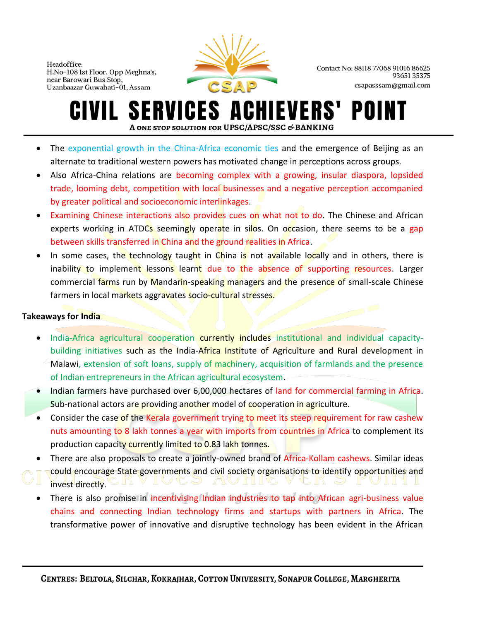

Contact No: 88118 77068 91016 86625 9365135375 csapasssam@gmail.com

#### **SERVICES ACHIEVERS'** POINT IVIL I A ONE STOP SOLUTION FOR UPSC/APSC/SSC & BANKING

- The exponential growth in the China-Africa economic ties and the emergence of Beijing as an alternate to traditional western powers has motivated change in perceptions across groups.
- Also Africa-China relations are becoming complex with a growing, insular diaspora, lopsided trade, looming debt, competition with local businesses and a negative perception accompanied by greater political and socioeconomic interlinkages.
- Examining Chinese interactions also provides cues on what not to do. The Chinese and African experts working in ATDCs seemingly operate in silos. On occasion, there seems to be a gap between skills transferred in China and the ground realities in Africa.
- In some cases, the technology taught in China is not available locally and in others, there is inability to implement lessons learnt due to the absence of supporting resources. Larger commercial farms run by Mandarin-speaking managers and the presence of small-scale Chinese farmers in local markets aggravates socio-cultural stresses.

### **Takeaways for India**

- India-Africa agricultural cooperation currently includes institutional and individual capacitybuilding initiatives such as the India-Africa Institute of Agriculture and Rural development in Malawi, extension of soft loans, supply of machinery, acquisition of farmlands and the presence of Indian entrepreneurs in the African agricultural ecosystem.
- Indian farmers have purchased over 6,00,000 hectares of land for commercial farming in Africa. Sub-national actors are providing another model of cooperation in agriculture.
- Consider the case of the Kerala government trying to meet its steep requirement for raw cashew nuts amounting to 8 lakh tonnes a year with imports from countries in Africa to complement its production capacity currently limited to 0.83 lakh tonnes.
- There are also proposals to create a jointly-owned brand of Africa-Kollam cashews. Similar ideas could encourage State governments and civil society organisations to identify opportunities and invest directly.
- There is also promise in incentivising Indian industries to tap into African agri-business value chains and connecting Indian technology firms and startups with partners in Africa. The transformative power of innovative and disruptive technology has been evident in the African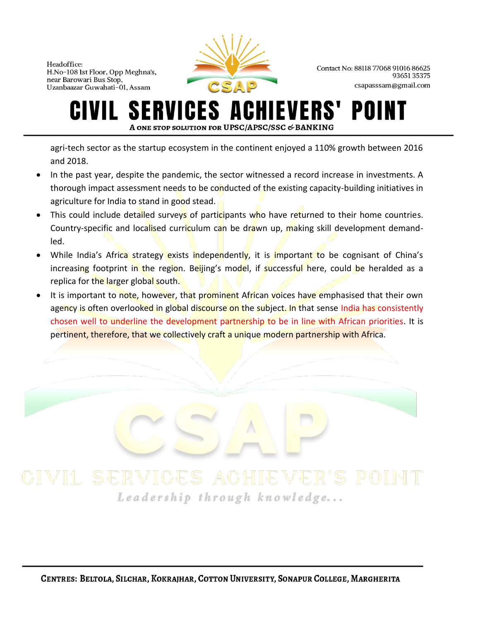

Contact No: 88118 77068 91016 86625 9365135375 csapasssam@gmail.com

#### ERVICES A **IEVERS'** POII GIVIL NT A ONE STOP SOLUTION FOR UPSC/APSC/SSC & BANKING

agri-tech sector as the startup ecosystem in the continent enjoyed a 110% growth between 2016 and 2018.

- In the past year, despite the pandemic, the sector witnessed a record increase in investments. A thorough impact assessment needs to be conducted of the existing capacity-building initiatives in agriculture for India to stand in good stead.
- This could include detailed surveys of participants who have returned to their home countries. Country-specific and localised curriculum can be drawn up, making skill development demandled.
- While India's Africa strategy exists independently, it is important to be cognisant of China's increasing footprint in the region. Beijing's model, if successful here, could be heralded as a replica for the larger global south.
- It is important to note, however, that prominent African voices have emphasised that their own agency is often overlooked in global discourse on the subject. In that sense India has consistently chosen well to underline the development partnership to be in line with African priorities. It is pertinent, therefore, that we collectively craft a unique modern partnership with Africa.

# Leadership through knowledge...